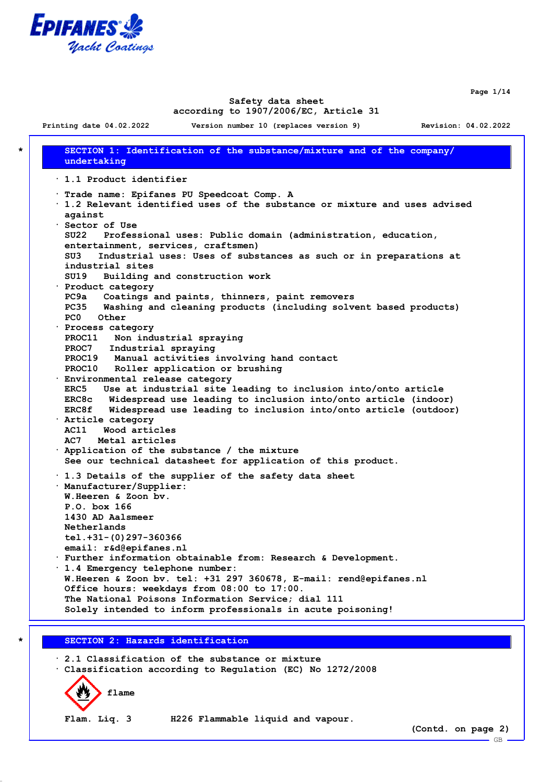

**Page 1/14**

### **Safety data sheet according to 1907/2006/EC, Article 31**

**\* SECTION 1: Identification of the substance/mixture and of the company/ undertaking · 1.1 Product identifier · Trade name: Epifanes PU Speedcoat Comp. A · 1.2 Relevant identified uses of the substance or mixture and uses advised against · Sector of Use SU22 Professional uses: Public domain (administration, education, entertainment, services, craftsmen) SU3 Industrial uses: Uses of substances as such or in preparations at industrial sites SU19 Building and construction work · Product category PC9a Coatings and paints, thinners, paint removers PC35 Washing and cleaning products (including solvent based products) PC0 Other · Process category PROC11 Non industrial spraying PROC7 Industrial spraying PROC19 Manual activities involving hand contact PROC10 Roller application or brushing · Environmental release category ERC5 Use at industrial site leading to inclusion into/onto article ERC8c Widespread use leading to inclusion into/onto article (indoor) ERC8f Widespread use leading to inclusion into/onto article (outdoor) · Article category AC11 Wood articles AC7 Metal articles · Application of the substance / the mixture See our technical datasheet for application of this product. · 1.3 Details of the supplier of the safety data sheet · Manufacturer/Supplier: W.Heeren & Zoon bv. P.O. box 166 1430 AD Aalsmeer Netherlands tel.+31-(0)297-360366 email: r&d@epifanes.nl · Further information obtainable from: Research & Development. · 1.4 Emergency telephone number: W.Heeren & Zoon bv. tel: +31 297 360678, E-mail: rend@epifanes.nl Office hours: weekdays from 08:00 to 17:00. The National Poisons Information Service; dial 111 Solely intended to inform professionals in acute poisoning! \* SECTION 2: Hazards identification**

**· 2.1 Classification of the substance or mixture · Classification according to Regulation (EC) No 1272/2008**



**Flam. Liq. 3 H226 Flammable liquid and vapour.**

**(Contd. on page 2)**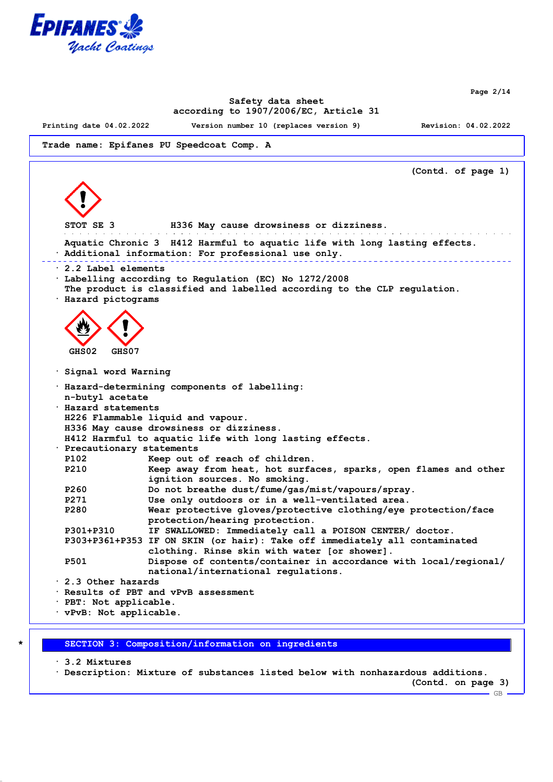

**Page 2/14**

# **Safety data sheet according to 1907/2006/EC, Article 31**

**Printing date 04.02.2022 Version number 10 (replaces version 9) Revision: 04.02.2022**

```
Trade name: Epifanes PU Speedcoat Comp. A
```

```
(Contd. of page 1)
 STOT SE 3 H336 May cause drowsiness or dizziness.
                                                              and the company of the company of
 Aquatic Chronic 3 H412 Harmful to aquatic life with long lasting effects.
· Additional information: For professional use only.
· 2.2 Label elements
· Labelling according to Regulation (EC) No 1272/2008
 The product is classified and labelled according to the CLP regulation.
· Hazard pictograms
  GHS02 GHS07
· Signal word Warning
· Hazard-determining components of labelling:
 n-butyl acetate
· Hazard statements
 H226 Flammable liquid and vapour.
 H336 May cause drowsiness or dizziness.
 H412 Harmful to aquatic life with long lasting effects.
· Precautionary statements
 P102 Keep out of reach of children.
 P210 Keep away from heat, hot surfaces, sparks, open flames and other
                ignition sources. No smoking.
 P260 Do not breathe dust/fume/gas/mist/vapours/spray.
 P271 Use only outdoors or in a well-ventilated area.
 P280 Wear protective gloves/protective clothing/eye protection/face
                protection/hearing protection.
 P301+P310 IF SWALLOWED: Immediately call a POISON CENTER/ doctor.
 P303+P361+P353 IF ON SKIN (or hair): Take off immediately all contaminated
                clothing. Rinse skin with water [or shower].
 P501 Dispose of contents/container in accordance with local/regional/
                national/international regulations.
· 2.3 Other hazards
· Results of PBT and vPvB assessment
· PBT: Not applicable.
· vPvB: Not applicable.
```
**\* SECTION 3: Composition/information on ingredients**

**· 3.2 Mixtures**

**· Description: Mixture of substances listed below with nonhazardous additions.**

**(Contd. on page 3)**

 $-$  GB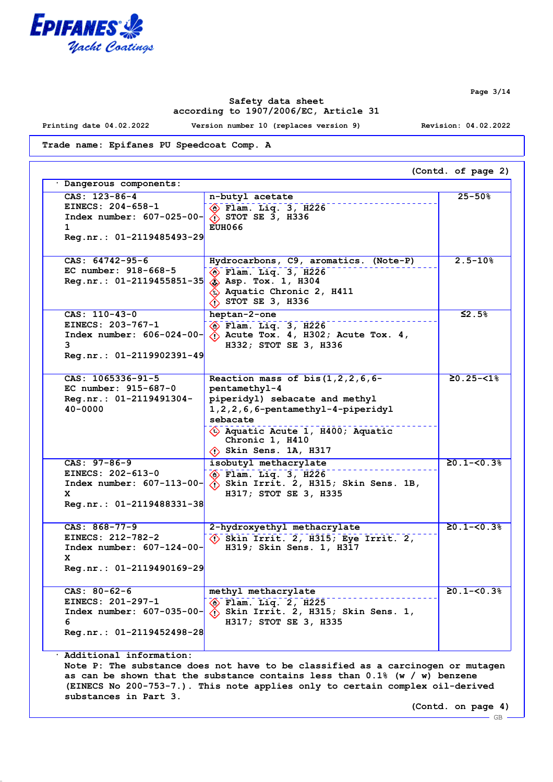

**Printing date 04.02.2022 Version number 10 (replaces version 9) Revision: 04.02.2022**

**Trade name: Epifanes PU Speedcoat Comp. A**

| $CAS: 123-86-4$<br>n-butyl acetate<br>EINECS: 204-658-1<br>$\circledast$ Flam. Liq. 3, H226<br>Index number: 607-025-00-<br>$\lozenge$ STOT SE 3, H336<br><b>EUH066</b><br>$\mathbf 1$<br>Reg.nr.: 01-2119485493-29<br>Hydrocarbons, C9, aromatics. (Note-P)<br>$\circ$ Flam. Liq. 3, H226<br>$\hat{\textbf{S}}$ Asp. Tox. 1, H304<br>$\hat{\textbf{A}}$ Aquatic Chronic 2, H411<br>$\hat{\left\langle \right\rangle}$ STOT SE 3, H336<br>heptan-2-one<br>$\circledast$ Flam. Liq. 3, H226<br>$\langle \cdot \rangle$ Acute Tox. 4, H302; Acute Tox. 4,<br>3<br>H332; STOT SE 3, H336<br>Reaction mass of bis $(1,2,2,6,6$ -<br>pentamethyl-4<br>piperidyl) sebacate and methyl<br>1, 2, 2, 6, 6-pentamethyl-4-piperidyl<br>sebacate<br>Aquatic Acute 1, H400; Aquatic<br>Chronic 1, H410<br>$\Diamond$ Skin Sens. 1A, H317 | $25 - 50%$<br>$2.5 - 10%$<br>$$2.5\%$<br>$20.25 - 518$ |
|-----------------------------------------------------------------------------------------------------------------------------------------------------------------------------------------------------------------------------------------------------------------------------------------------------------------------------------------------------------------------------------------------------------------------------------------------------------------------------------------------------------------------------------------------------------------------------------------------------------------------------------------------------------------------------------------------------------------------------------------------------------------------------------------------------------------------------|--------------------------------------------------------|
| $CAS: 64742-95-6$<br>EC number: 918-668-5<br>$Reg.nr.: 01-2119455851-35$<br>CAS: 110-43-0<br>EINECS: 203-767-1<br>Index number: 606-024-00-<br>$Reg.nr.: 01-2119902391-49$<br>$CAS: 1065336-91-5$<br>EC number: $915-687-0$<br>Reg.nr.: 01-2119491304-<br>$40 - 0000$                                                                                                                                                                                                                                                                                                                                                                                                                                                                                                                                                       |                                                        |
|                                                                                                                                                                                                                                                                                                                                                                                                                                                                                                                                                                                                                                                                                                                                                                                                                             |                                                        |
|                                                                                                                                                                                                                                                                                                                                                                                                                                                                                                                                                                                                                                                                                                                                                                                                                             |                                                        |
|                                                                                                                                                                                                                                                                                                                                                                                                                                                                                                                                                                                                                                                                                                                                                                                                                             |                                                        |
| $CAS: 97-86-9$<br>isobutyl methacrylate<br>EINECS: 202-613-0<br>$\diamondsuit$ Flam. Liq. 3, H226<br>$\langle \cdot \rangle$ Skin Irrit. 2, H315; Skin Sens. 1B,<br>Index number: $607-113-00$ -<br>H317; STOT SE 3, H335<br>x<br>Reg.nr.: 01-2119488331-38                                                                                                                                                                                                                                                                                                                                                                                                                                                                                                                                                                 | $20.1 - 50.38$                                         |
| $CAS: 868-77-9$<br>2-hydroxyethyl methacrylate<br>EINECS: 212-782-2<br>$\langle \cdot \rangle$ Skin Irrit. 2, H315; Eye Irrit. 2,<br>Index number: 607-124-00-<br>H319; Skin Sens. 1, H317<br>x<br>$Reg.nr.: 01-2119490169-29$                                                                                                                                                                                                                                                                                                                                                                                                                                                                                                                                                                                              | $20.1 - 50.38$                                         |
| CAS: $80-62-6$<br>methyl methacrylate<br>EINECS: 201-297-1<br>$\Diamond$ Flam. Liq. 2, H225<br>Index number: 607-035-00-<br>$\langle \cdot \rangle$ Skin Irrit. 2, H315; Skin Sens. 1,<br>H317; STOT SE 3, H335<br>6<br>Reg.nr.: 01-2119452498-28                                                                                                                                                                                                                                                                                                                                                                                                                                                                                                                                                                           | $20.1 - 50.38$                                         |

**Page 3/14**

**(Contd. on page 4)** GB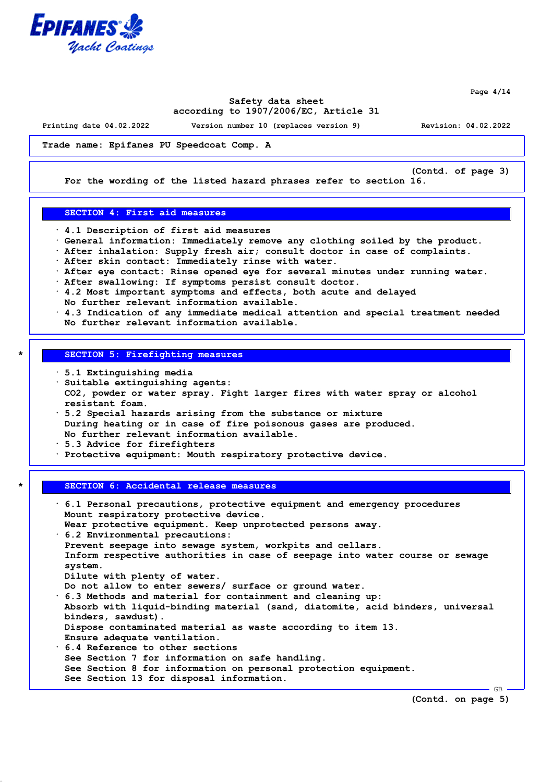

**Page 4/14**

## **Safety data sheet according to 1907/2006/EC, Article 31**

**Printing date 04.02.2022 Version number 10 (replaces version 9) Revision: 04.02.2022**

**Trade name: Epifanes PU Speedcoat Comp. A**

**(Contd. of page 3)**

**For the wording of the listed hazard phrases refer to section 16.**

### **SECTION 4: First aid measures**

- **· 4.1 Description of first aid measures**
- **· General information: Immediately remove any clothing soiled by the product.**
- **· After inhalation: Supply fresh air; consult doctor in case of complaints.**
- **· After skin contact: Immediately rinse with water.**
- **· After eye contact: Rinse opened eye for several minutes under running water.**
- **· After swallowing: If symptoms persist consult doctor.**
- **· 4.2 Most important symptoms and effects, both acute and delayed**
- **No further relevant information available.**
- **· 4.3 Indication of any immediate medical attention and special treatment needed No further relevant information available.**

# **\* SECTION 5: Firefighting measures**

- **· 5.1 Extinguishing media**
- **· Suitable extinguishing agents: CO2, powder or water spray. Fight larger fires with water spray or alcohol resistant foam.**
- **· 5.2 Special hazards arising from the substance or mixture During heating or in case of fire poisonous gases are produced. No further relevant information available.**
- **· 5.3 Advice for firefighters**

**· Protective equipment: Mouth respiratory protective device.**

### **\* SECTION 6: Accidental release measures**

| $\cdot$ 6.1 Personal precautions, protective equipment and emergency procedures |
|---------------------------------------------------------------------------------|
| Mount respiratory protective device.                                            |
| Wear protective equipment. Keep unprotected persons away.                       |
| $\cdot$ 6.2 Environmental precautions:                                          |
| Prevent seepage into sewage system, workpits and cellars.                       |
| Inform respective authorities in case of seepage into water course or sewage    |
| system.                                                                         |
| Dilute with plenty of water.                                                    |
| Do not allow to enter sewers/ surface or ground water.                          |
| $\cdot$ 6.3 Methods and material for containment and cleaning up:               |
| Absorb with liquid-binding material (sand, diatomite, acid binders, universal   |
| binders, sawdust).                                                              |
| Dispose contaminated material as waste according to item 13.                    |
| Ensure adequate ventilation.                                                    |
| $\cdot$ 6.4 Reference to other sections                                         |
| See Section 7 for information on safe handling.                                 |
| See Section 8 for information on personal protection equipment.                 |
| See Section 13 for disposal information.                                        |

**(Contd. on page 5)**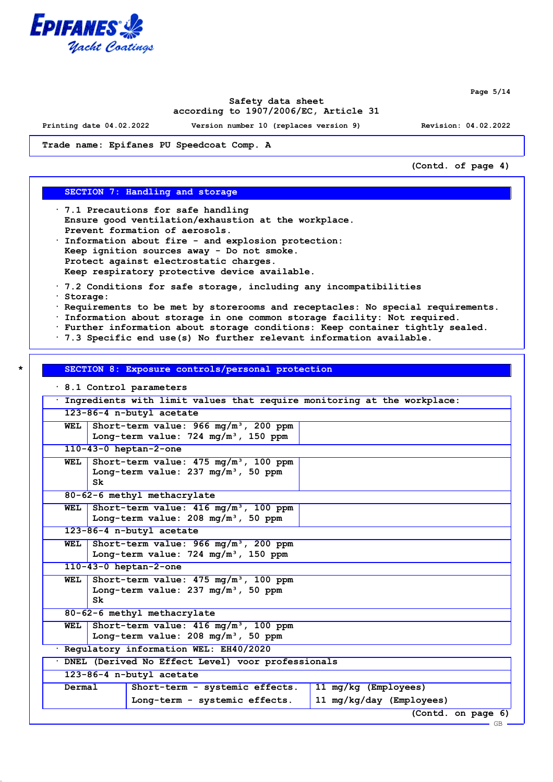

**Page 5/14**

## **Safety data sheet according to 1907/2006/EC, Article 31**

**Printing date 04.02.2022 Version number 10 (replaces version 9) Revision: 04.02.2022**

**Trade name: Epifanes PU Speedcoat Comp. A**

**(Contd. of page 4)**

## **SECTION 7: Handling and storage**

- **· 7.1 Precautions for safe handling Ensure good ventilation/exhaustion at the workplace. Prevent formation of aerosols.**
- **· Information about fire and explosion protection: Keep ignition sources away - Do not smoke. Protect against electrostatic charges. Keep respiratory protective device available.**
- **· 7.2 Conditions for safe storage, including any incompatibilities**
- **· Storage:**
- **· Requirements to be met by storerooms and receptacles: No special requirements.**
- **· Information about storage in one common storage facility: Not required.**
- **· Further information about storage conditions: Keep container tightly sealed.**
- **· 7.3 Specific end use(s) No further relevant information available.**

### **\* SECTION 8: Exposure controls/personal protection**

**· 8.1 Control parameters**

|        | Ingredients with limit values that require monitoring at the workplace:                                    |  |  |  |  |  |
|--------|------------------------------------------------------------------------------------------------------------|--|--|--|--|--|
|        | 123-86-4 n-butyl acetate                                                                                   |  |  |  |  |  |
| WEL    | Short-term value: 966 mg/m <sup>3</sup> , 200 ppm<br>Long-term value: $724 \text{ mg/m}^3$ , 150 ppm       |  |  |  |  |  |
|        | $110 - 43 - 0$ heptan-2-one                                                                                |  |  |  |  |  |
| WEL    | Short-term value: 475 mg/m <sup>3</sup> , 100 ppm<br>Long-term value: $237 \text{ mg/m}^3$ , 50 ppm<br>Sk  |  |  |  |  |  |
|        | 80-62-6 methyl methacrylate                                                                                |  |  |  |  |  |
| WEL    | Short-term value: $416 \text{ mg/m}^3$ , 100 ppm<br>Long-term value: $208 \text{ mg/m}^3$ , 50 ppm         |  |  |  |  |  |
|        | 123-86-4 n-butyl acetate                                                                                   |  |  |  |  |  |
| WEL    | Short-term value: $966 \text{ mg/m}^3$ , 200 ppm<br>Long-term value: $724 \text{ mg/m}^3$ , 150 ppm        |  |  |  |  |  |
|        | 110-43-0 heptan-2-one                                                                                      |  |  |  |  |  |
| WEL    | Short-term value: 475 mg/m <sup>3</sup> , 100 ppm<br>Long-term value: $237 \text{ mg/m}^3$ , 50 ppm<br>Sk. |  |  |  |  |  |
|        | 80-62-6 methyl methacrylate                                                                                |  |  |  |  |  |
| WEL    | Short-term value: 416 mg/m <sup>3</sup> , 100 ppm<br>Long-term value: $208 \text{ mg/m}^3$ , 50 ppm        |  |  |  |  |  |
|        | · Regulatory information WEL: EH40/2020                                                                    |  |  |  |  |  |
|        | DNEL (Derived No Effect Level) voor professionals                                                          |  |  |  |  |  |
|        | 123-86-4 n-butyl acetate                                                                                   |  |  |  |  |  |
| Dermal | 11 mg/kg (Employees)<br>Short-term - systemic effects.                                                     |  |  |  |  |  |
|        | 11 mg/kg/day (Employees)<br>Long-term - systemic effects.                                                  |  |  |  |  |  |
|        | (Contd. on page 6)                                                                                         |  |  |  |  |  |
|        | — GB —                                                                                                     |  |  |  |  |  |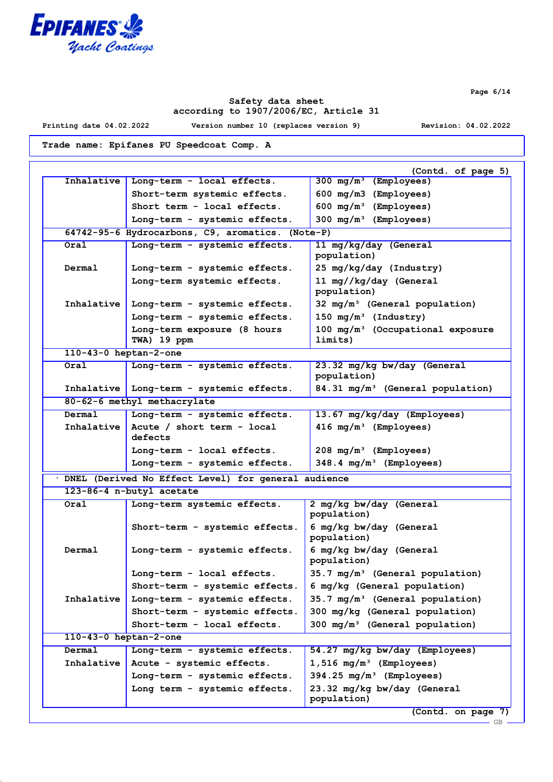

**Printing date 04.02.2022 Version number 10 (replaces version 9) Revision: 04.02.2022**

**Trade name: Epifanes PU Speedcoat Comp. A**

| Inhalative                  | Long-term - local effects.                                     | (Contd. of page 5)<br>300 $mg/m^3$ (Employees)                     |
|-----------------------------|----------------------------------------------------------------|--------------------------------------------------------------------|
|                             |                                                                |                                                                    |
|                             | Short-term systemic effects.                                   | 600 mg/m3 (Employees)                                              |
|                             | Short term - local effects.                                    | 600 $mg/m^3$ (Employees)                                           |
|                             | Long-term - systemic effects.                                  | $300 \text{ mg/m}^3$ (Employees)                                   |
|                             | 64742-95-6 Hydrocarbons, C9, aromatics. (Note-P)               |                                                                    |
| Oral                        | Long-term - systemic effects.                                  | 11 mg/kg/day (General<br>population)                               |
| Dermal                      | Long-term - systemic effects.                                  | 25 mg/kg/day (Industry)                                            |
|                             | Long-term systemic effects.                                    | 11 mg//kg/day (General                                             |
|                             |                                                                | population)                                                        |
| Inhalative                  | Long-term - systemic effects.                                  | $32 \text{ mg/m}^3$ (General population)                           |
|                             | Long-term - systemic effects.                                  | 150 $mg/m^3$ (Industry)                                            |
|                             | Long-term exposure (8 hours                                    | $100$ mg/m <sup>3</sup> (Occupational exposure                     |
|                             | TWA) 19 ppm                                                    | limits)                                                            |
| 110-43-0 heptan-2-one       |                                                                |                                                                    |
| Oral                        | Long-term - systemic effects.                                  | 23.32 mg/kg bw/day (General<br>population)                         |
|                             | Inhalative Long-term - systemic effects.                       | 84.31 mg/m <sup>3</sup> (General population)                       |
|                             | 80-62-6 methyl methacrylate                                    |                                                                    |
| Dermal                      | Long-term - systemic effects.                                  | 13.67 mg/kg/day (Employees)                                        |
| Inhalative                  | Acute / short term - local                                     | $416 \text{ mg/m}^3$ (Employees)                                   |
|                             | defects                                                        |                                                                    |
|                             | Long-term - local effects.                                     | $208 \, \text{mg/m}^3$ (Employees)                                 |
|                             | Long-term - systemic effects.                                  | $348.4 \text{ mg/m}^3$ (Employees)                                 |
|                             | · DNEL (Derived No Effect Level) for general audience          |                                                                    |
|                             | 123-86-4 n-butyl acetate                                       |                                                                    |
| Oral                        | Long-term systemic effects.                                    | 2 mg/kg bw/day (General<br>population)                             |
|                             | Short-term - systemic effects.                                 | 6 mg/kg bw/day (General                                            |
|                             |                                                                | population)                                                        |
|                             |                                                                |                                                                    |
| Dermal                      | Long-term - systemic effects.                                  | 6 mg/kg bw/day (General                                            |
|                             |                                                                | population)                                                        |
|                             | Long-term - local effects.                                     | 35.7 mg/m <sup>3</sup> (General population)                        |
|                             | Short-term - systemic effects.                                 | 6 mg/kg (General population)                                       |
| Inhalative                  | Long-term - systemic effects.                                  | 35.7 mg/m <sup>3</sup> (General population)                        |
|                             | Short-term - systemic effects.                                 | 300 mg/kg (General population)                                     |
|                             | Short-term - local effects.                                    | $300 \text{ mg/m}^3$ (General population)                          |
| $110 - 43 - 0$ heptan-2-one |                                                                |                                                                    |
| Dermal                      | Long-term - systemic effects.                                  | 54.27 mg/kg bw/day (Employees)                                     |
| Inhalative                  |                                                                |                                                                    |
|                             | Acute - systemic effects.                                      | $1,516$ mg/m <sup>3</sup> (Employees)                              |
|                             | Long-term - systemic effects.<br>Long term - systemic effects. | $394.25 \text{ mg/m}^3$ (Employees)<br>23.32 mg/kg bw/day (General |

GB

**Page 6/14**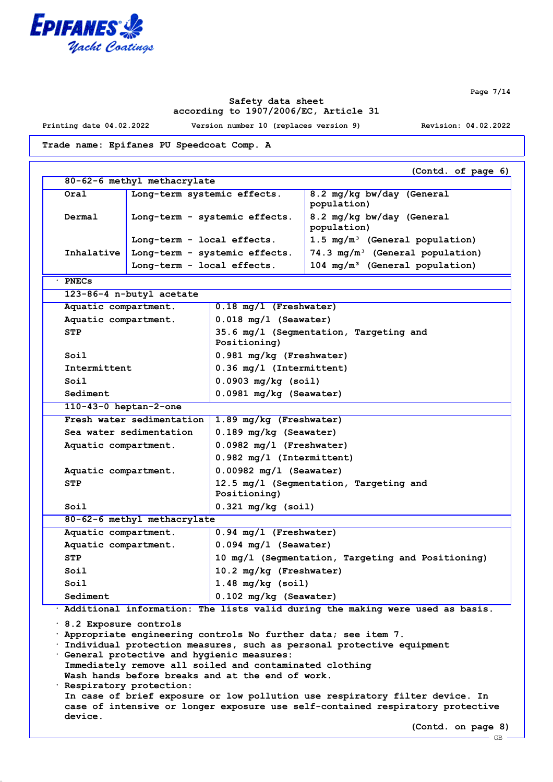

**Page 7/14**

# **Safety data sheet according to 1907/2006/EC, Article 31**

**device.**

**Printing date 04.02.2022 Version number 10 (replaces version 9) Revision: 04.02.2022**

**(Contd. on page 8)**

 $-$  GB

**Trade name: Epifanes PU Speedcoat Comp. A**

|                                                                                                                                                                                                                                                                                                                                                                | (Contd. of page 6)                                                                                                                                             |                                                        |                                                                                 |  |  |  |
|----------------------------------------------------------------------------------------------------------------------------------------------------------------------------------------------------------------------------------------------------------------------------------------------------------------------------------------------------------------|----------------------------------------------------------------------------------------------------------------------------------------------------------------|--------------------------------------------------------|---------------------------------------------------------------------------------|--|--|--|
|                                                                                                                                                                                                                                                                                                                                                                | 80-62-6 methyl methacrylate                                                                                                                                    |                                                        |                                                                                 |  |  |  |
| Oral                                                                                                                                                                                                                                                                                                                                                           | Long-term systemic effects.                                                                                                                                    |                                                        | 8.2 mg/kg bw/day (General<br>population)                                        |  |  |  |
| Dermal                                                                                                                                                                                                                                                                                                                                                         | Long-term - systemic effects.                                                                                                                                  |                                                        | 8.2 mg/kg bw/day (General<br>population)                                        |  |  |  |
|                                                                                                                                                                                                                                                                                                                                                                | Long-term - local effects.                                                                                                                                     |                                                        | 1.5 mg/m <sup>3</sup> (General population)                                      |  |  |  |
| Inhalative                                                                                                                                                                                                                                                                                                                                                     |                                                                                                                                                                | Long-term - systemic effects.                          | 74.3 mg/m <sup>3</sup> (General population)                                     |  |  |  |
|                                                                                                                                                                                                                                                                                                                                                                | Long-term - local effects.                                                                                                                                     |                                                        | 104 mg/m <sup>3</sup> (General population)                                      |  |  |  |
| <b>PNECs</b>                                                                                                                                                                                                                                                                                                                                                   |                                                                                                                                                                |                                                        |                                                                                 |  |  |  |
| 123-86-4 n-butyl acetate                                                                                                                                                                                                                                                                                                                                       |                                                                                                                                                                |                                                        |                                                                                 |  |  |  |
| Aquatic compartment.                                                                                                                                                                                                                                                                                                                                           |                                                                                                                                                                | 0.18 mg/l (Freshwater)                                 |                                                                                 |  |  |  |
| Aquatic compartment.                                                                                                                                                                                                                                                                                                                                           |                                                                                                                                                                | $0.018$ mg/l (Seawater)                                |                                                                                 |  |  |  |
| <b>STP</b>                                                                                                                                                                                                                                                                                                                                                     |                                                                                                                                                                | 35.6 mg/l (Segmentation, Targeting and<br>Positioning) |                                                                                 |  |  |  |
| Soil                                                                                                                                                                                                                                                                                                                                                           |                                                                                                                                                                | 0.981 mg/kg (Freshwater)                               |                                                                                 |  |  |  |
| Intermittent                                                                                                                                                                                                                                                                                                                                                   |                                                                                                                                                                | 0.36 mg/l (Intermittent)                               |                                                                                 |  |  |  |
| Soi1                                                                                                                                                                                                                                                                                                                                                           |                                                                                                                                                                | $0.0903$ mg/kg (soil)                                  |                                                                                 |  |  |  |
| Sediment                                                                                                                                                                                                                                                                                                                                                       |                                                                                                                                                                | 0.0981 mg/kg (Seawater)                                |                                                                                 |  |  |  |
| $110 - 43 - 0$ heptan-2-one                                                                                                                                                                                                                                                                                                                                    |                                                                                                                                                                |                                                        |                                                                                 |  |  |  |
|                                                                                                                                                                                                                                                                                                                                                                | Fresh water sedimentation                                                                                                                                      | 1.89 mg/kg (Freshwater)                                |                                                                                 |  |  |  |
|                                                                                                                                                                                                                                                                                                                                                                | Sea water sedimentation                                                                                                                                        | 0.189 mg/kg (Seawater)                                 |                                                                                 |  |  |  |
| Aquatic compartment.                                                                                                                                                                                                                                                                                                                                           |                                                                                                                                                                | $0.0982$ mg/l (Freshwater)                             |                                                                                 |  |  |  |
|                                                                                                                                                                                                                                                                                                                                                                |                                                                                                                                                                | 0.982 mg/l (Intermittent)                              |                                                                                 |  |  |  |
| Aquatic compartment.                                                                                                                                                                                                                                                                                                                                           |                                                                                                                                                                | $0.00982$ mg/l (Seawater)                              |                                                                                 |  |  |  |
| STP                                                                                                                                                                                                                                                                                                                                                            |                                                                                                                                                                | 12.5 mg/l (Segmentation, Targeting and<br>Positioning) |                                                                                 |  |  |  |
| Soil                                                                                                                                                                                                                                                                                                                                                           |                                                                                                                                                                | $0.321$ mg/kg (soil)                                   |                                                                                 |  |  |  |
|                                                                                                                                                                                                                                                                                                                                                                | 80-62-6 methyl methacrylate                                                                                                                                    |                                                        |                                                                                 |  |  |  |
| Aquatic compartment.                                                                                                                                                                                                                                                                                                                                           |                                                                                                                                                                | $0.94$ mg/l (Freshwater)                               |                                                                                 |  |  |  |
| Aquatic compartment.                                                                                                                                                                                                                                                                                                                                           |                                                                                                                                                                | $0.094$ mg/l (Seawater)                                |                                                                                 |  |  |  |
| <b>STP</b>                                                                                                                                                                                                                                                                                                                                                     |                                                                                                                                                                | 10 mg/l (Segmentation, Targeting and Positioning)      |                                                                                 |  |  |  |
| Soil                                                                                                                                                                                                                                                                                                                                                           |                                                                                                                                                                | 10.2 mg/kg (Freshwater)                                |                                                                                 |  |  |  |
| Soil                                                                                                                                                                                                                                                                                                                                                           |                                                                                                                                                                | $1.48$ mg/kg (soil)                                    |                                                                                 |  |  |  |
| Sediment                                                                                                                                                                                                                                                                                                                                                       |                                                                                                                                                                | 0.102 mg/kg (Seawater)                                 |                                                                                 |  |  |  |
|                                                                                                                                                                                                                                                                                                                                                                |                                                                                                                                                                |                                                        | · Additional information: The lists valid during the making were used as basis. |  |  |  |
| $\cdot$ 8.2 Exposure controls<br>Appropriate engineering controls No further data; see item 7.<br>Individual protection measures, such as personal protective equipment<br>General protective and hygienic measures:<br>Immediately remove all soiled and contaminated clothing<br>Wash hands before breaks and at the end of work.<br>Respiratory protection: |                                                                                                                                                                |                                                        |                                                                                 |  |  |  |
|                                                                                                                                                                                                                                                                                                                                                                | In case of brief exposure or low pollution use respiratory filter device. In<br>case of intensive or longer exposure use self-contained respiratory protective |                                                        |                                                                                 |  |  |  |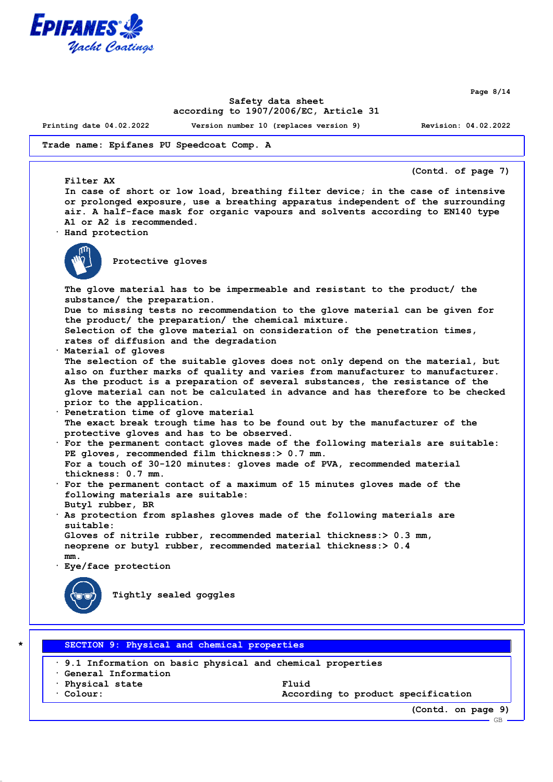

**Page 8/14**

## **Safety data sheet according to 1907/2006/EC, Article 31**

**Printing date 04.02.2022 Version number 10 (replaces version 9) Revision: 04.02.2022**

**Trade name: Epifanes PU Speedcoat Comp. A**

**(Contd. of page 7)**

**In case of short or low load, breathing filter device; in the case of intensive or prolonged exposure, use a breathing apparatus independent of the surrounding air. A half-face mask for organic vapours and solvents according to EN140 type A1 or A2 is recommended.**

**· Hand protection**



**Filter AX**

**Protective gloves**

**The glove material has to be impermeable and resistant to the product/ the substance/ the preparation. Due to missing tests no recommendation to the glove material can be given for the product/ the preparation/ the chemical mixture. Selection of the glove material on consideration of the penetration times, rates of diffusion and the degradation · Material of gloves The selection of the suitable gloves does not only depend on the material, but also on further marks of quality and varies from manufacturer to manufacturer. As the product is a preparation of several substances, the resistance of the glove material can not be calculated in advance and has therefore to be checked prior to the application. · Penetration time of glove material The exact break trough time has to be found out by the manufacturer of the protective gloves and has to be observed. · For the permanent contact gloves made of the following materials are suitable: PE gloves, recommended film thickness:> 0.7 mm. For a touch of 30-120 minutes: gloves made of PVA, recommended material thickness: 0.7 mm. · For the permanent contact of a maximum of 15 minutes gloves made of the following materials are suitable: Butyl rubber, BR · As protection from splashes gloves made of the following materials are suitable: Gloves of nitrile rubber, recommended material thickness:> 0.3 mm, neoprene or butyl rubber, recommended material thickness:> 0.4 mm.**

**· Eye/face protection**



**Tightly sealed goggles**

**\* SECTION 9: Physical and chemical properties**

**· 9.1 Information on basic physical and chemical properties**

**· General Information**

**· Physical state Fluid**

**· Colour: According to product specification**

**(Contd. on page 9)**

GB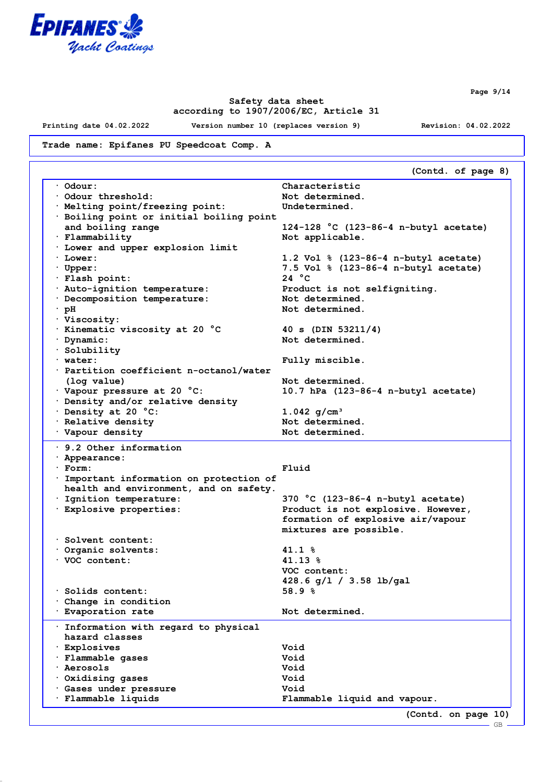

**Printing date 04.02.2022 Version number 10 (replaces version 9) Revision: 04.02.2022**

**Trade name: Epifanes PU Speedcoat Comp. A**

**(Contd. of page 8) · Odour: Characteristic · Odour threshold: Not determined. · Melting point/freezing point: Undetermined. · Boiling point or initial boiling point and boiling range 124-128 °C (123-86-4 n-butyl acetate) · Flammability Not applicable. · Lower and upper explosion limit · Lower: 1.2 Vol % (123-86-4 n-butyl acetate) · Upper: 7.5 Vol % (123-86-4 n-butyl acetate)**  $\cdot$  **Flash point: · Auto-ignition temperature: Product is not selfigniting. · Decomposition temperature: Not determined. · pH Not determined. · Viscosity: · Kinematic viscosity at 20 °C 40 s (DIN 53211/4) · Dynamic: Not determined. · Solubility · water: Fully miscible. · Partition coefficient n-octanol/water (log value) Not determined. · Vapour pressure at 20 °C: 10.7 hPa (123-86-4 n-butyl acetate) · Density and/or relative density · Density at 20 °C: 1.042 g/cm³ Productive density because Mot determined.** · **Vapour density 12.12 · 12.12 · 12.12 · Not determined. · 9.2 Other information · Appearance: · Form: Fluid · Important information on protection of health and environment, and on safety. · Ignition temperature: 370 °C (123-86-4 n-butyl acetate) · Explosive properties: Product is not explosive. However, formation of explosive air/vapour mixtures are possible. · Solvent content: · Organic solvents: 41.1 % · VOC content: 41.13 % VOC content: 428.6 g/l / 3.58 lb/gal · Solids content: 58.9 % · Change in condition · Evaporation rate Not determined. · Information with regard to physical hazard classes · Explosives Void · Flammable gases Void · Aerosols Void · Oxidising gases Void · Gases under pressure Void · Flammable liquids Flammable liquid and vapour. (Contd. on page 10)**

**Page 9/14**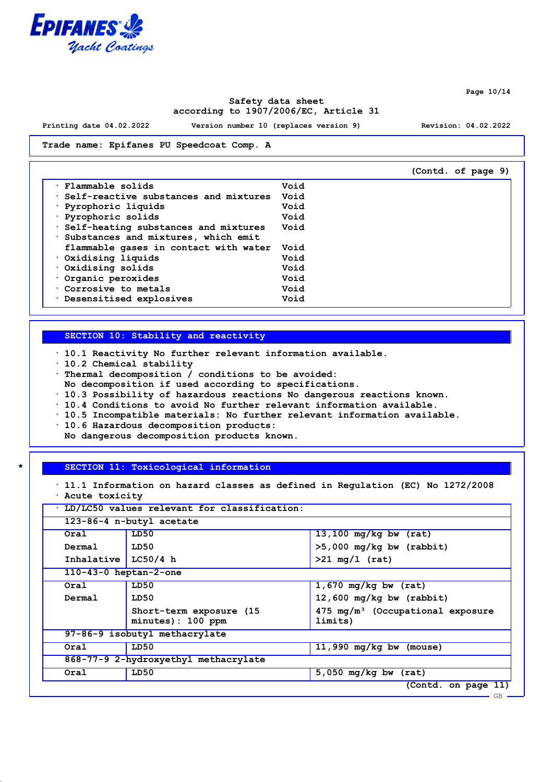

**Printing date 04.02.2022 Version number 10 (replaces version 9) Revision: 04.02.2022**

### **Trade name: Epifanes PU Speedcoat Comp. A**

|                                       |      | (Contd. of page 9) |
|---------------------------------------|------|--------------------|
| Flammable solids                      | Void |                    |
| Self-reactive substances and mixtures | Void |                    |
| · Pyrophoric liquids                  | Void |                    |
| Pyrophoric solids                     | Void |                    |
| Self-heating substances and mixtures  | Void |                    |
| Substances and mixtures, which emit   |      |                    |
| flammable gases in contact with water | Void |                    |
| Oxidising liquids                     | Void |                    |
| Oxidising solids                      | Void |                    |
| Organic peroxides                     | Void |                    |
| Corrosive to metals                   | Void |                    |
| · Desensitised explosives             | Void |                    |

### **SECTION 10: Stability and reactivity**

**· 10.1 Reactivity No further relevant information available.**

- **· 10.2 Chemical stability**
- **· Thermal decomposition / conditions to be avoided:**
- **No decomposition if used according to specifications.**
- **· 10.3 Possibility of hazardous reactions No dangerous reactions known.**
- **· 10.4 Conditions to avoid No further relevant information available.**
- **· 10.5 Incompatible materials: No further relevant information available.**
- **· 10.6 Hazardous decomposition products:**
- **No dangerous decomposition products known.**

# **\* SECTION 11: Toxicological information**

|  | · 11.1 Information on hazard classes as defined in Regulation (EC) No 1272/2008 |  |  |  |  |  |
|--|---------------------------------------------------------------------------------|--|--|--|--|--|
|  | Acute toxicity                                                                  |  |  |  |  |  |

| Oral                        | LD50                                          | $13,100$ mg/kg bw (rat)                                |
|-----------------------------|-----------------------------------------------|--------------------------------------------------------|
| Dermal                      | LD50                                          | $>5,000$ mg/kg bw (rabbit)                             |
| Inhalative LC50/4 h         |                                               | $>21 \text{ mg/l}$ (rat)                               |
| $110 - 43 - 0$ heptan-2-one |                                               |                                                        |
| Oral                        | LD50                                          | $1,670$ mg/kg bw (rat)                                 |
| Dermal                      | LD50                                          | $12,600$ mg/kg bw (rabbit)                             |
|                             | Short-term exposure (15)<br>minutes): 100 ppm | $475 \text{ mg/m}^3$ (Occupational exposure<br>limits) |
|                             | 97-86-9 isobutyl methacrylate                 |                                                        |
| Oral                        | LD50                                          | 11,990 $mq/kg$ bw (mouse)                              |
|                             | 868-77-9 2-hydroxyethyl methacrylate          |                                                        |
| Oral                        | LD50                                          | $5,050$ mg/kg bw (rat)                                 |

**Page 10/14**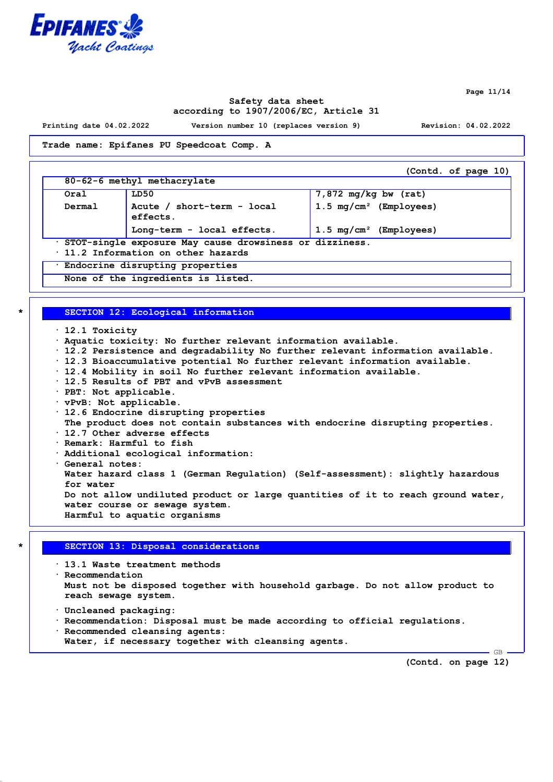

**Page 11/14**

## **Safety data sheet according to 1907/2006/EC, Article 31**

**Printing date 04.02.2022 Version number 10 (replaces version 9) Revision: 04.02.2022**

#### **Trade name: Epifanes PU Speedcoat Comp. A**

**(Contd. of page 10) 80-62-6 methyl methacrylate Oral LD50 7,872 mg/kg bw (rat) Dermal Acute / short-term - local effects. 1.5 mg/cm² (Employees) Long-term - local effects. 1.5 mg/cm² (Employees) · STOT-single exposure May cause drowsiness or dizziness. · 11.2 Information on other hazards · Endocrine disrupting properties None of the ingredients is listed.**

# **\* SECTION 12: Ecological information**

- **· 12.1 Toxicity**
- **· Aquatic toxicity: No further relevant information available.**
- **· 12.2 Persistence and degradability No further relevant information available.**
- **· 12.3 Bioaccumulative potential No further relevant information available.**
- **· 12.4 Mobility in soil No further relevant information available.**
- **· 12.5 Results of PBT and vPvB assessment**
- **· PBT: Not applicable.**
- **· vPvB: Not applicable.**
- **· 12.6 Endocrine disrupting properties**
- **The product does not contain substances with endocrine disrupting properties.**
- **· 12.7 Other adverse effects**
- **· Remark: Harmful to fish**
- **· Additional ecological information:**
- **· General notes:**

**Water hazard class 1 (German Regulation) (Self-assessment): slightly hazardous for water**

**Do not allow undiluted product or large quantities of it to reach ground water, water course or sewage system. Harmful to aquatic organisms**

# **\* SECTION 13: Disposal considerations**

**· 13.1 Waste treatment methods**

- **· Recommendation Must not be disposed together with household garbage. Do not allow product to reach sewage system.**
- **· Uncleaned packaging:**
- **· Recommendation: Disposal must be made according to official regulations.**
- **· Recommended cleansing agents:**
- **Water, if necessary together with cleansing agents.**

**(Contd. on page 12)**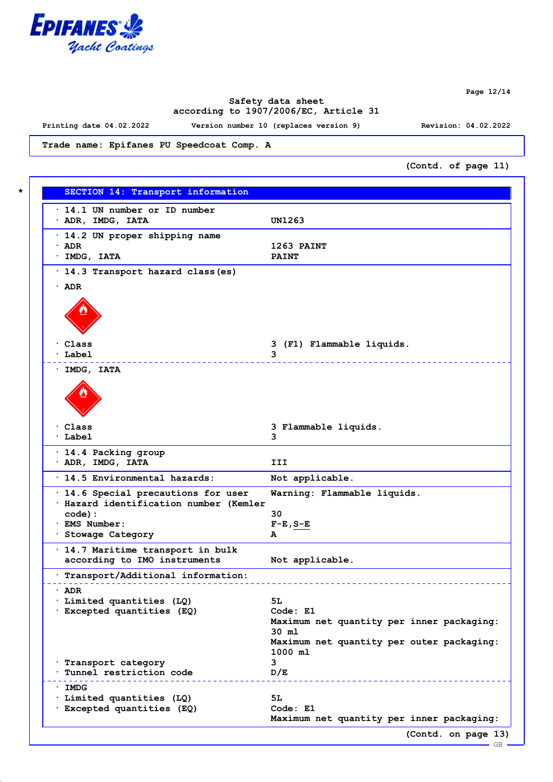

**Page 12/14**

# **Safety data sheet according to 1907/2006/EC, Article 31**

**Printing date 04.02.2022 Version number 10 (replaces version 9) Revision: 04.02.2022**

**Trade name: Epifanes PU Speedcoat Comp. A**

**(Contd. of page 11)**

| $\cdot$ 14.1 UN number or ID number    |                                                    |
|----------------------------------------|----------------------------------------------------|
| $\cdot$ ADR, IMDG, IATA                | <b>UN1263</b>                                      |
| $\cdot$ 14.2 UN proper shipping name   |                                                    |
| $\cdot$ ADR                            | 1263 PAINT                                         |
| $·$ IMDG, IATA                         | <b>PAINT</b>                                       |
|                                        |                                                    |
| · 14.3 Transport hazard class (es)     |                                                    |
| $\cdot$ ADR                            |                                                    |
|                                        |                                                    |
|                                        |                                                    |
|                                        |                                                    |
|                                        |                                                    |
| · Class                                | 3 (F1) Flammable liquids.                          |
| · Label                                | 3                                                  |
| · IMDG, IATA                           |                                                    |
|                                        |                                                    |
|                                        |                                                    |
|                                        |                                                    |
|                                        |                                                    |
| · Class                                | 3 Flammable liquids.                               |
| · Label                                | 3                                                  |
|                                        |                                                    |
| · 14.4 Packing group                   |                                                    |
| $\cdot$ ADR, IMDG, IATA                | III                                                |
| · 14.5 Environmental hazards:          | Not applicable.                                    |
| · 14.6 Special precautions for user    | Warning: Flammable liquids.                        |
| · Hazard identification number (Kemler |                                                    |
| $code)$ :                              | 30                                                 |
| · EMS Number:                          | $F-E$ , $S-E$                                      |
| · Stowage Category                     | A                                                  |
| · 14.7 Maritime transport in bulk      |                                                    |
| according to IMO instruments           | Not applicable.                                    |
| Transport/Additional information:      |                                                    |
|                                        |                                                    |
| · ADR                                  |                                                    |
| Limited quantities (LQ)                | 5L                                                 |
| · Excepted quantities (EQ)             | Code: E1                                           |
|                                        | Maximum net quantity per inner packaging:<br>30 ml |
|                                        | Maximum net quantity per outer packaging:          |
|                                        | 1000 ml                                            |
| · Transport category                   | 3                                                  |
| Tunnel restriction code                | D/E                                                |
|                                        | ___________________________                        |
| · IMDG<br>· Limited quantities (LQ)    | 5L                                                 |
| · Excepted quantities (EQ)             | Code: E1                                           |
|                                        | Maximum net quantity per inner packaging:          |
|                                        |                                                    |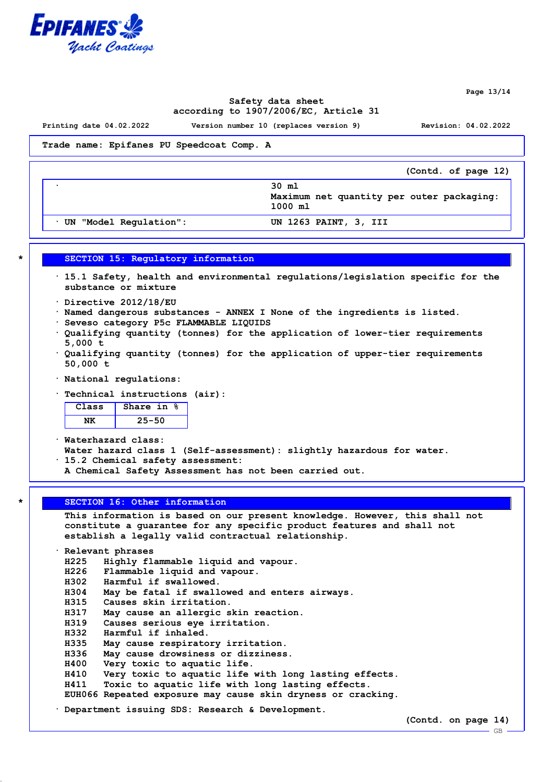

**Page 13/14**

# **Safety data sheet according to 1907/2006/EC, Article 31**

**Printing date 04.02.2022 Version number 10 (replaces version 9) Revision: 04.02.2022**

**Trade name: Epifanes PU Speedcoat Comp. A**

|                        | (Contd. of page 12)                                             |
|------------------------|-----------------------------------------------------------------|
|                        | 30 ml<br>Maximum net quantity per outer packaging:<br>$1000$ ml |
| UN "Model Regulation": | UN 1263 PAINT, 3, III                                           |

**\* SECTION 15: Regulatory information**

- **· 15.1 Safety, health and environmental regulations/legislation specific for the substance or mixture**
- **· Directive 2012/18/EU**
- **· Named dangerous substances ANNEX I None of the ingredients is listed.**
- **· Seveso category P5c FLAMMABLE LIQUIDS**
- **· Qualifying quantity (tonnes) for the application of lower-tier requirements 5,000 t**
- **· Qualifying quantity (tonnes) for the application of upper-tier requirements 50,000 t**
- **· National regulations:**
- **· Technical instructions (air):**

| ass | nare in |
|-----|---------|
|     |         |

**· Waterhazard class:**

- **Water hazard class 1 (Self-assessment): slightly hazardous for water.**
- **· 15.2 Chemical safety assessment:**
- **A Chemical Safety Assessment has not been carried out.**

#### **\* SECTION 16: Other information**

**This information is based on our present knowledge. However, this shall not constitute a guarantee for any specific product features and shall not establish a legally valid contractual relationship.**

**· Relevant phrases H225 Highly flammable liquid and vapour. H226 Flammable liquid and vapour. H302 Harmful if swallowed. H304 May be fatal if swallowed and enters airways. H315 Causes skin irritation. H317 May cause an allergic skin reaction. H319 Causes serious eye irritation. H332 Harmful if inhaled. H335 May cause respiratory irritation. H336 May cause drowsiness or dizziness. H400 Very toxic to aquatic life. H410 Very toxic to aquatic life with long lasting effects. H411 Toxic to aquatic life with long lasting effects. EUH066 Repeated exposure may cause skin dryness or cracking. · Department issuing SDS: Research & Development.**

**(Contd. on page 14)**